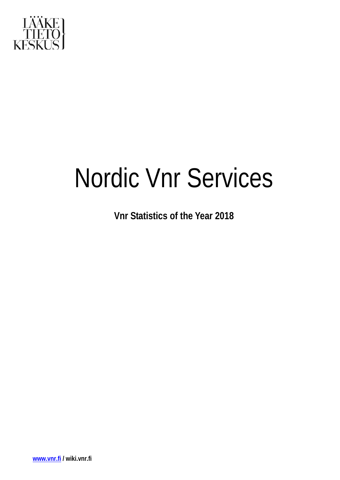

# Nordic Vnr Services

**Vnr Statistics of the Year 2018**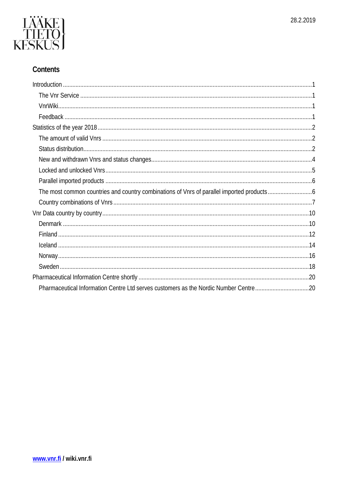

# Contents

| Pharmaceutical Information Centre Ltd serves customers as the Nordic Number Centre20 |  |
|--------------------------------------------------------------------------------------|--|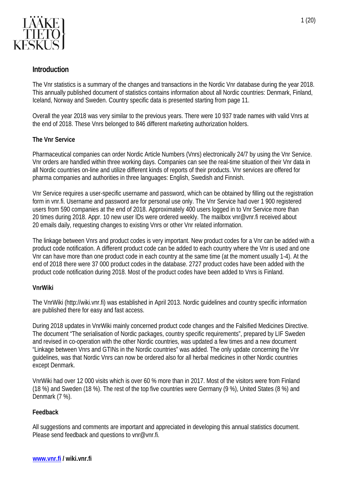

# <span id="page-2-0"></span>**Introduction**

The Vnr statistics is a summary of the changes and transactions in the Nordic Vnr database during the year 2018. This annually published document of statistics contains information about all Nordic countries: Denmark, Finland, Iceland, Norway and Sweden. Country specific data is presented starting from page 11.

Overall the year 2018 was very similar to the previous years. There were 10 937 trade names with valid Vnrs at the end of 2018. These Vnrs belonged to 846 different marketing authorization holders.

#### <span id="page-2-1"></span>**The Vnr Service**

Pharmaceutical companies can order Nordic Article Numbers (Vnrs) electronically 24/7 by using the Vnr Service. Vnr orders are handled within three working days. Companies can see the real-time situation of their Vnr data in all Nordic countries on-line and utilize different kinds of reports of their products. Vnr services are offered for pharma companies and authorities in three languages: English, Swedish and Finnish.

Vnr Service requires a user-specific username and password, which can be obtained by filling out the registration form in vnr.fi. Username and password are for personal use only. The Vnr Service had over 1 900 registered users from 590 companies at the end of 2018. Approximately 400 users logged in to Vnr Service more than 20 times during 2018. Appr. 10 new user IDs were ordered weekly. The mailbox vnr@vnr.fi received about 20 emails daily, requesting changes to existing Vnrs or other Vnr related information.

The linkage between Vnrs and product codes is very important. New product codes for a Vnr can be added with a product code notification. A different product code can be added to each country where the Vnr is used and one Vnr can have more than one product code in each country at the same time (at the moment usually 1-4). At the end of 2018 there were 37 000 product codes in the database. 2727 product codes have been added with the product code notification during 2018. Most of the product codes have been added to Vnrs is Finland.

#### <span id="page-2-2"></span>**VnrWiki**

The VnrWiki [\(http://wiki.vnr.fi\)](http://wiki.vnr.fi/) was established in April 2013. Nordic guidelines and country specific information are published there for easy and fast access.

During 2018 updates in VnrWiki mainly concerned product code changes and the Falsified Medicines Directive. The document "The serialisation of Nordic packages, country specific requirements", prepared by LIF Sweden and revised in co-operation with the other Nordic countries, was updated a few times and a new document "Linkage between Vnrs and GTINs in the Nordic countries" was added. The only update concerning the Vnr guidelines, was that Nordic Vnrs can now be ordered also for all herbal medicines in other Nordic countries except Denmark.

VnrWiki had over 12 000 visits which is over 60 % more than in 2017. Most of the visitors were from Finland (18 %) and Sweden (18 %). The rest of the top five countries were Germany (9 %), United States (8 %) and Denmark (7 %).

#### <span id="page-2-3"></span>**Feedback**

All suggestions and comments are important and appreciated in developing this annual statistics document. Please send feedback and questions to [vnr@vnr.fi.](mailto:vnr@vnr.fi)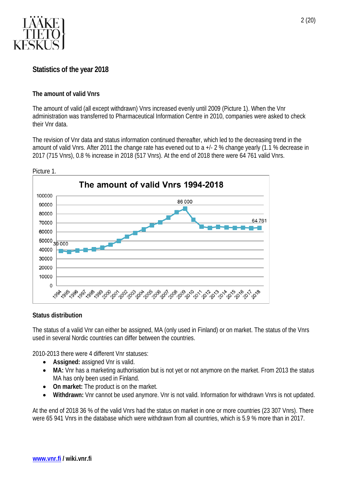

# <span id="page-3-0"></span>**Statistics of the year 2018**

#### <span id="page-3-1"></span>**The amount of valid Vnrs**

The amount of valid (all except withdrawn) Vnrs increased evenly until 2009 (Picture 1). When the Vnr administration was transferred to Pharmaceutical Information Centre in 2010, companies were asked to check their Vnr data.

The revision of Vnr data and status information continued thereafter, which led to the decreasing trend in the amount of valid Vnrs. After 2011 the change rate has evened out to a +/- 2 % change yearly (1.1 % decrease in 2017 (715 Vnrs), 0.8 % increase in 2018 (517 Vnrs). At the end of 2018 there were 64 761 valid Vnrs.



Picture 1.

#### <span id="page-3-2"></span>**Status distribution**

The status of a valid Vnr can either be assigned, MA (only used in Finland) or on market. The status of the Vnrs used in several Nordic countries can differ between the countries.

2010-2013 there were 4 different Vnr statuses:

- **Assigned:** assigned Vnr is valid.
- **MA:** Vnr has a marketing authorisation but is not yet or not anymore on the market. From 2013 the status MA has only been used in Finland.
- **On market:** The product is on the market.
- **Withdrawn:** Vnr cannot be used anymore. Vnr is not valid. Information for withdrawn Vnrs is not updated.

At the end of 2018 36 % of the valid Vnrs had the status on market in one or more countries (23 307 Vnrs). There were 65 941 Vnrs in the database which were withdrawn from all countries, which is 5.9 % more than in 2017.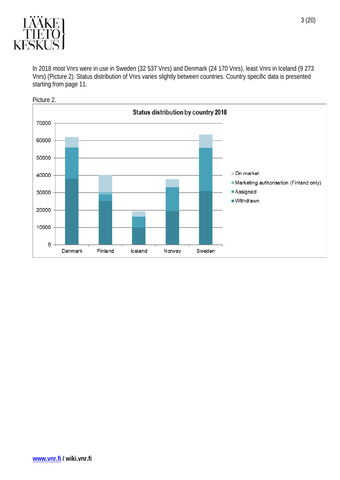

In 2018 most Vnrs were in use in Sweden (32 537 Vnrs) and Denmark (24 170 Vnrs), least Vnrs in Iceland (9 273 Vnrs) (Picture 2). Status distribution of Vnrs varies slightly between countries. Country specific data is presented starting from page 11.

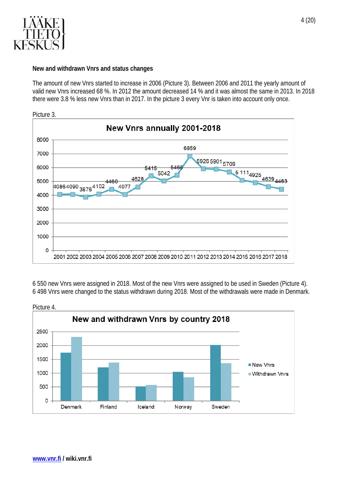

#### <span id="page-5-0"></span>**New and withdrawn Vnrs and status changes**

The amount of new Vnrs started to increase in 2006 (Picture 3). Between 2006 and 2011 the yearly amount of valid new Vnrs increased 68 %. In 2012 the amount decreased 14 % and it was almost the same in 2013. In 2018 there were 3.8 % less new Vnrs than in 2017. In the picture 3 every Vnr is taken into account only once.



Picture 3.

6 550 new Vnrs were assigned in 2018. Most of the new Vnrs were assigned to be used in Sweden (Picture 4). 6 498 Vnrs were changed to the status withdrawn during 2018. Most of the withdrawals were made in Denmark.

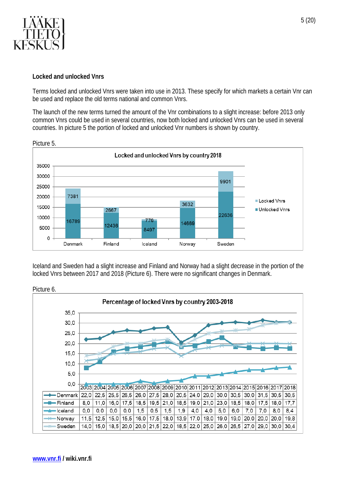

#### <span id="page-6-0"></span>**Locked and unlocked Vnrs**

Terms locked and unlocked Vnrs were taken into use in 2013. These specify for which markets a certain Vnr can be used and replace the old terms national and common Vnrs.

The launch of the new terms turned the amount of the Vnr combinations to a slight increase: before 2013 only common Vnrs could be used in several countries, now both locked and unlocked Vnrs can be used in several countries. In picture 5 the portion of locked and unlocked Vnr numbers is shown by country.



Iceland and Sweden had a slight increase and Finland and Norway had a slight decrease in the portion of the locked Vnrs between 2017 and 2018 (Picture 6). There were no significant changes in Denmark.



Picture 6.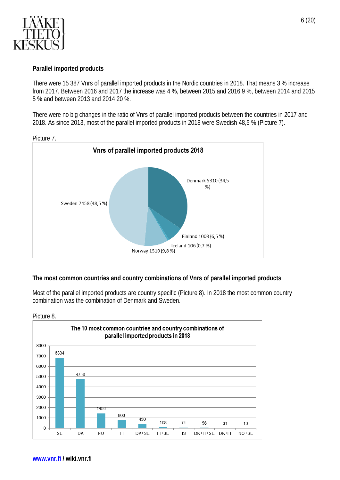

#### <span id="page-7-0"></span>**Parallel imported products**

There were 15 387 Vnrs of parallel imported products in the Nordic countries in 2018. That means 3 % increase from 2017. Between 2016 and 2017 the increase was 4 %, between 2015 and 2016 9 %, between 2014 and 2015 5 % and between 2013 and 2014 20 %.

There were no big changes in the ratio of Vnrs of parallel imported products between the countries in 2017 and 2018. As since 2013, most of the parallel imported products in 2018 were Swedish 48,5 % (Picture 7).



Picture 7.

#### <span id="page-7-1"></span>**The most common countries and country combinations of Vnrs of parallel imported products**

Most of the parallel imported products are country specific (Picture 8). In 2018 the most common country combination was the combination of Denmark and Sweden.



Picture 8.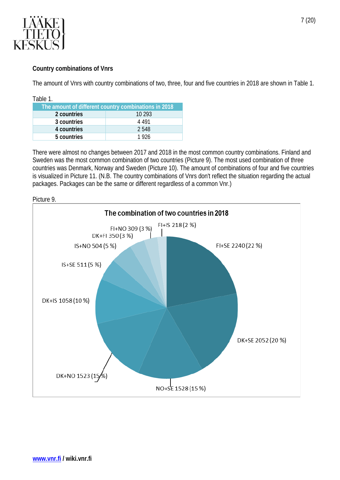

### <span id="page-8-0"></span>**Country combinations of Vnrs**

The amount of Vnrs with country combinations of two, three, four and five countries in 2018 are shown in Table 1.

| Table 1.                                             |         |  |
|------------------------------------------------------|---------|--|
| The amount of different country combinations in 2018 |         |  |
| 2 countries                                          | 10 293  |  |
| 3 countries                                          | 4 4 9 1 |  |
| 4 countries                                          | 2548    |  |
| 5 countries                                          | 1926    |  |

There were almost no changes between 2017 and 2018 in the most common country combinations. Finland and Sweden was the most common combination of two countries (Picture 9). The most used combination of three countries was Denmark, Norway and Sweden (Picture 10). The amount of combinations of four and five countries is visualized in Picture 11. (N.B. The country combinations of Vnrs don't reflect the situation regarding the actual packages. Packages can be the same or different regardless of a common Vnr.)



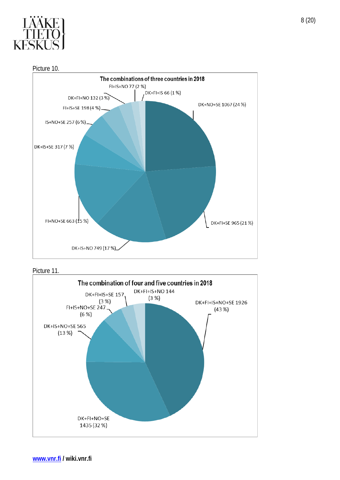

Picture 10.



Picture 11.

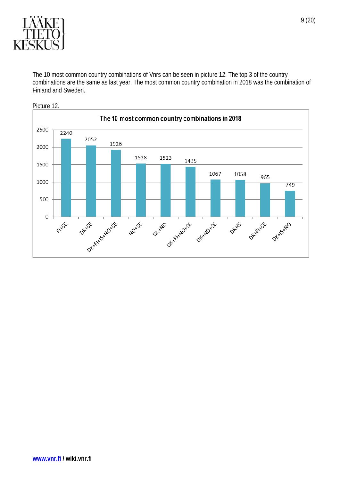

The 10 most common country combinations of Vnrs can be seen in picture 12. The top 3 of the country combinations are the same as last year. The most common country combination in 2018 was the combination of Finland and Sweden.

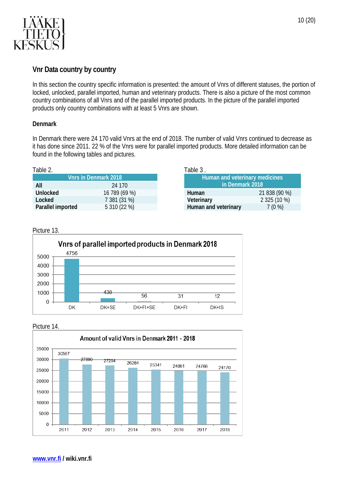

# <span id="page-11-0"></span>**Vnr Data country by country**

In this section the country specific information is presented: the amount of Vnrs of different statuses, the portion of locked, unlocked, parallel imported, human and veterinary products. There is also a picture of the most common country combinations of all Vnrs and of the parallel imported products. In the picture of the parallel imported products only country combinations with at least 5 Vnrs are shown.

#### <span id="page-11-1"></span>**Denmark**

In Denmark there were 24 170 valid Vnrs at the end of 2018. The number of valid Vnrs continued to decrease as it has done since 2011. 22 % of the Vnrs were for parallel imported products. More detailed information can be found in the following tables and pictures.

| Table 2. |  |                               | Table |
|----------|--|-------------------------------|-------|
|          |  | $\mathbf{r}$ and $\mathbf{r}$ |       |

| <b>Vnrs in Denmark 2018</b> |               |  |
|-----------------------------|---------------|--|
| All                         | 24 170        |  |
| Unlocked                    | 16 789 (69 %) |  |
| Locked                      | 7 381 (31 %)  |  |
| Parallel imported           | 5 310 (22 %)  |  |

| Table 3.                              |               |  |
|---------------------------------------|---------------|--|
| <b>Human and veterinary medicines</b> |               |  |
| in Denmark 2018                       |               |  |
| Human                                 | 21 838 (90 %) |  |
| Veterinary                            | 2 325 (10 %)  |  |
| Human and veterinary                  | 7(0%          |  |

#### Picture 13.



Picture 14.

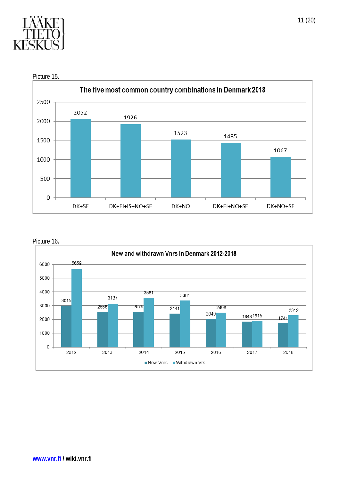

The five most common country combinations in Denmark 2018 2500 2052 1926 2000 1523 1435 1500 1067 1000 500  $\mathbf 0$ DK+SE DK+FI+IS+NO+SE DK+NO DK+FI+NO+SE DK+NO+SE

Picture 15.



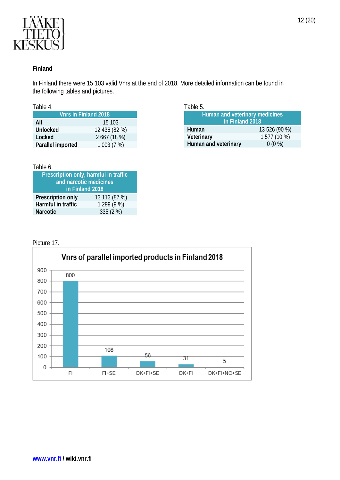

#### <span id="page-13-0"></span>**Finland**

In Finland there were 15 103 valid Vnrs at the end of 2018. More detailed information can be found in the following tables and pictures.

|--|

| <b>Vnrs in Finland 2018</b> |               |  |
|-----------------------------|---------------|--|
| All                         | 15 103        |  |
| <b>Unlocked</b>             | 12 436 (82 %) |  |
| Locked                      | 2 667 (18 %)  |  |
| Parallel imported           | 1 003 (7 %)   |  |
|                             |               |  |

#### Table 6.

| Prescription only, harmful in traffic |               |  |
|---------------------------------------|---------------|--|
| and narcotic medicines                |               |  |
| in Finland 2018                       |               |  |
| Prescription only                     | 13 113 (87 %) |  |
| Harmful in traffic                    | 1 299 (9 %)   |  |
| <b>Narcotic</b>                       | 335 (2 %)     |  |

Table 5.

| Human and veterinary medicines<br>in Finland 2018 |               |  |
|---------------------------------------------------|---------------|--|
| Human                                             | 13 526 (90 %) |  |
| Veterinary                                        | 1 577 (10 %)  |  |
| Human and veterinary                              | $0(0\%)$      |  |

### Picture 17.

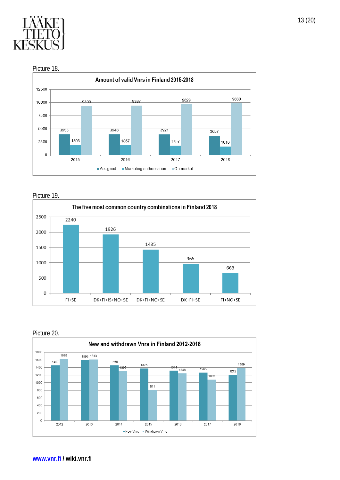

Picture 18.



Picture 19.



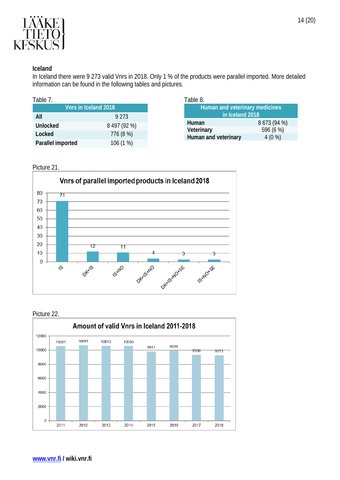

#### <span id="page-15-0"></span>**Iceland**

In Iceland there were 9 273 valid Vnrs in 2018. Only 1 % of the products were parallel imported. More detailed information can be found in the following tables and pictures.

| Vnrs in Iceland 2018 |              |  |
|----------------------|--------------|--|
| ΑIΙ                  | 9 2 7 3      |  |
| <b>Unlocked</b>      | 8 497 (92 %) |  |
| Locked               | 776 (8 %)    |  |
| Parallel imported    | 106 (1 %)    |  |

| Table 8.                       |              |  |
|--------------------------------|--------------|--|
| Human and veterinary medicines |              |  |
| in Iceland 2018                |              |  |
| Human                          | 8 673 (94 %) |  |
| Veterinary                     | 596 (6 %)    |  |
| Human and veterinary           | 4(0%         |  |

#### Picture 21.



#### Picture 22.

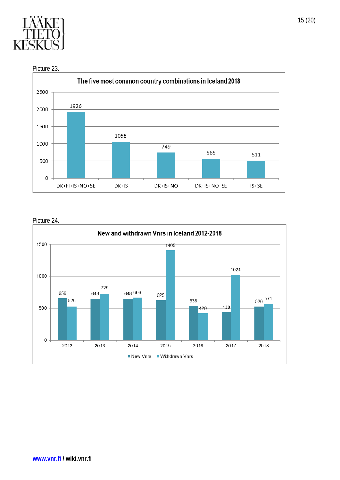





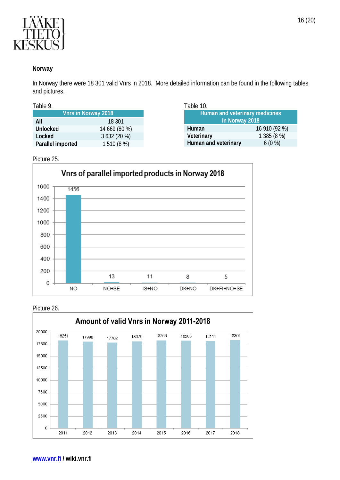

#### <span id="page-17-0"></span>**Norway**

In Norway there were 18 301 valid Vnrs in 2018. More detailed information can be found in the following tables and pictures.

| able |  |  |
|------|--|--|
|      |  |  |

|                   | <b>Vnrs in Norway 2018</b> |
|-------------------|----------------------------|
| All               | 18 301                     |
| Unlocked          | 14 669 (80 %)              |
| Locked            | 3 632 (20 %)               |
| Parallel imported | 1510 (8 %)                 |

| Table 10.                             |               |
|---------------------------------------|---------------|
| <b>Human and veterinary medicines</b> |               |
| in Norway 2018                        |               |
| Human                                 | 16 910 (92 %) |
| Veterinary                            | 1 385 (8 %)   |
| Human and veterinary                  | $6(0\%)$      |

Picture 25.



#### Picture 26.

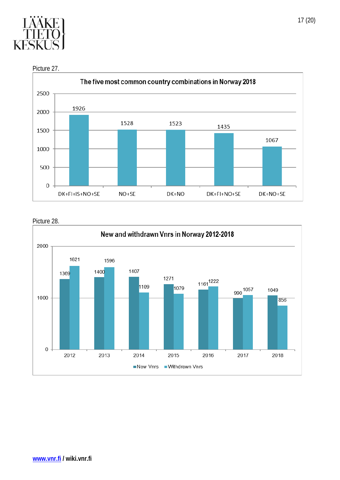

Picture 27.



Picture 28.

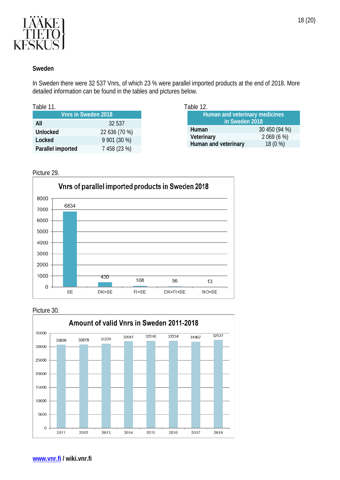

#### <span id="page-19-0"></span>**Sweden**

In Sweden there were 32 537 Vnrs, of which 23 % were parallel imported products at the end of 2018. More detailed information can be found in the tables and pictures below.

Table 12.

| 1I. |  |  |  |
|-----|--|--|--|
|-----|--|--|--|

|                   | <b>Vnrs in Sweden 2018</b> |
|-------------------|----------------------------|
| All               | 32 537                     |
| Unlocked          | 22 636 (70 %)              |
| Locked            | $9901(30\%)$               |
|                   |                            |
| Parallel imported | 7 458 (23 %)               |

#### Picture 29.



#### Picture 30.

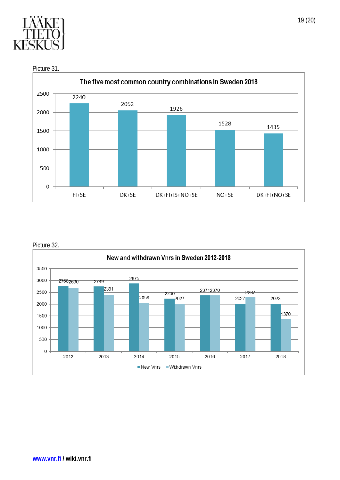